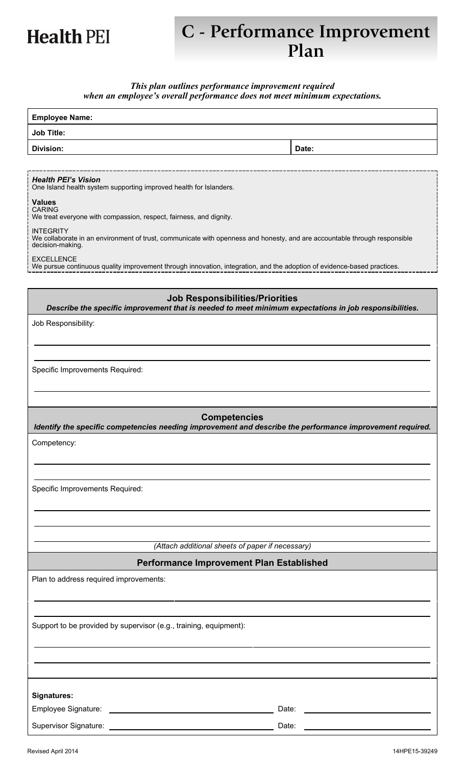

## **C** - Performance Improvement **mä~å**

*This plan outlines performance improvement required when an employee's overall performance does not meet minimum expectations.*

| <b>Employee Name:</b>                                                                                                                                             |       |  |
|-------------------------------------------------------------------------------------------------------------------------------------------------------------------|-------|--|
| <b>Job Title:</b>                                                                                                                                                 |       |  |
| <b>Division:</b>                                                                                                                                                  | Date: |  |
|                                                                                                                                                                   |       |  |
| <b>Health PEI's Vision</b><br>One Island health system supporting improved health for Islanders.                                                                  |       |  |
| <b>Values</b><br><b>CARING</b><br>We treat everyone with compassion, respect, fairness, and dignity.                                                              |       |  |
| <b>INTEGRITY</b><br>We collaborate in an environment of trust, communicate with openness and honesty, and are accountable through responsible<br>decision-making. |       |  |
| <b>EXCELLENCE</b><br>We pursue continuous quality improvement through innovation, integration, and the adoption of evidence-based practices.                      |       |  |
|                                                                                                                                                                   |       |  |
| <b>Job Responsibilities/Priorities</b><br>Describe the specific improvement that is needed to meet minimum expectations in job responsibilities.                  |       |  |
| Job Responsibility:                                                                                                                                               |       |  |
|                                                                                                                                                                   |       |  |
|                                                                                                                                                                   |       |  |
| Specific Improvements Required:                                                                                                                                   |       |  |
|                                                                                                                                                                   |       |  |
|                                                                                                                                                                   |       |  |
| <b>Competencies</b><br>Identify the specific competencies needing improvement and describe the performance improvement required.                                  |       |  |
| Competency:                                                                                                                                                       |       |  |
|                                                                                                                                                                   |       |  |
|                                                                                                                                                                   |       |  |
| Specific Improvements Required:                                                                                                                                   |       |  |
|                                                                                                                                                                   |       |  |
|                                                                                                                                                                   |       |  |
|                                                                                                                                                                   |       |  |
| (Attach additional sheets of paper if necessary)                                                                                                                  |       |  |
| <b>Performance Improvement Plan Established</b>                                                                                                                   |       |  |
| Plan to address required improvements:                                                                                                                            |       |  |
|                                                                                                                                                                   |       |  |
|                                                                                                                                                                   |       |  |
|                                                                                                                                                                   |       |  |
| Support to be provided by supervisor (e.g., training, equipment):                                                                                                 |       |  |
|                                                                                                                                                                   |       |  |
|                                                                                                                                                                   |       |  |
|                                                                                                                                                                   |       |  |
| <b>Signatures:</b>                                                                                                                                                |       |  |
| Employee Signature:                                                                                                                                               | Date: |  |
| Supervisor Signature:                                                                                                                                             | Date: |  |